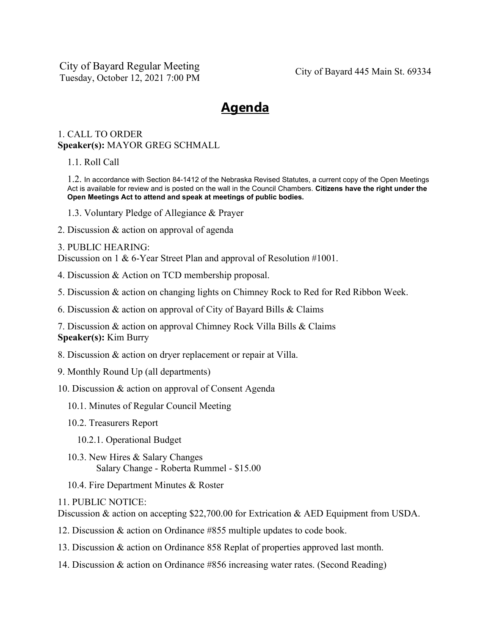City of Bayard Regular Meeting Tuesday, October 12, 2021 7:00 PM City of Bayard 445 Main St. 69334

## **Agenda**

## 1. CALL TO ORDER **Speaker(s):** MAYOR GREG SCHMALL

1.1. Roll Call

1.2. In accordance with Section 84-1412 of the Nebraska Revised Statutes, a current copy of the Open Meetings Act is available for review and is posted on the wall in the Council Chambers. **Citizens have the right under the Open Meetings Act to attend and speak at meetings of public bodies.**

- 1.3. Voluntary Pledge of Allegiance & Prayer
- 2. Discussion & action on approval of agenda

## 3. PUBLIC HEARING:

Discussion on 1 & 6-Year Street Plan and approval of Resolution #1001.

- 4. Discussion & Action on TCD membership proposal.
- 5. Discussion & action on changing lights on Chimney Rock to Red for Red Ribbon Week.
- 6. Discussion & action on approval of City of Bayard Bills & Claims

7. Discussion & action on approval Chimney Rock Villa Bills & Claims **Speaker(s):** Kim Burry

- 8. Discussion & action on dryer replacement or repair at Villa.
- 9. Monthly Round Up (all departments)
- 10. Discussion & action on approval of Consent Agenda
	- 10.1. Minutes of Regular Council Meeting
	- 10.2. Treasurers Report
		- 10.2.1. Operational Budget
	- 10.3. New Hires & Salary Changes Salary Change - Roberta Rummel - \$15.00
	- 10.4. Fire Department Minutes & Roster

11. PUBLIC NOTICE:

Discussion & action on accepting \$22,700.00 for Extrication & AED Equipment from USDA.

- 12. Discussion & action on Ordinance #855 multiple updates to code book.
- 13. Discussion & action on Ordinance 858 Replat of properties approved last month.
- 14. Discussion & action on Ordinance #856 increasing water rates. (Second Reading)